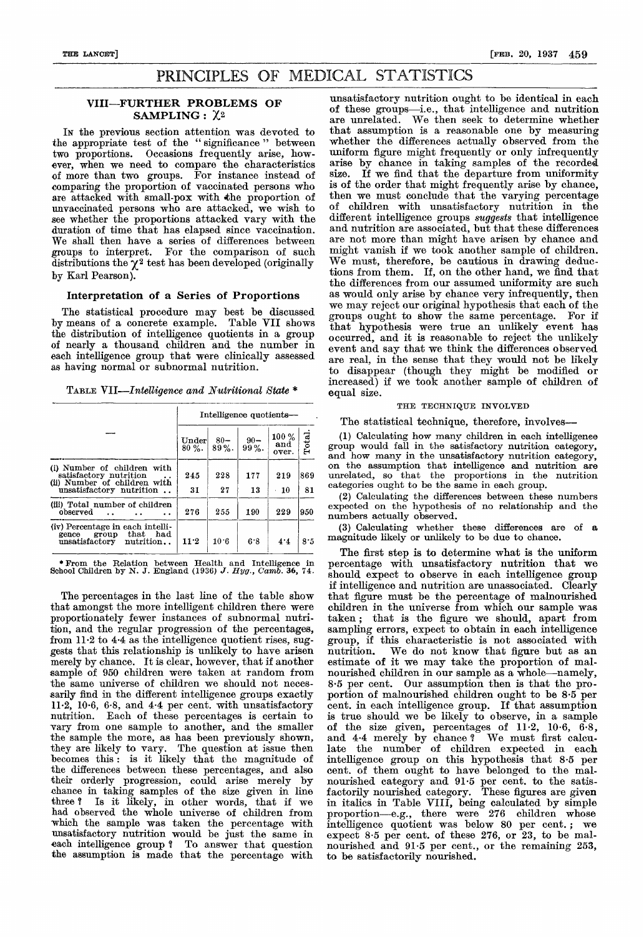# PRINCIPLES OF MEDICAL STATISTICS

### VIII—FURTHER PROBLEMS OF SAMPLING:  $\chi_2$

IN the previous section attention was devoted to the appropriate test of the " significance " between two proportions. Occasions frequently arise, however, when we need to compare the characteristics of more than two groups. For instance instead of comparing the proportion of vaccinated persons who are attacked with small-pox with the proportion of unvaccinated persons who are attacked, we wish to see whether the proportions attacked vary with the duration of time that has elapsed since vaccination. We shall then have a series of differences between groups to interpret. For the comparison of such distributions the  $\chi^2$  test has been developed (originally by Karl Pearson).

### Interpretation of a Series of Proportions

The statistical procedure may best be discussed by means of a concrete example. Table VII shows the distribution of intelligence quotients in a group of nearly a thousand children and the number in each intelligence group that were clinically assessed as having normal or subnormal nutrition.

TABLE VII-Intelligence and Nutritional State \*

|                                                                                                                   | Intelligence quotients— |                    |                |                       |           |  |
|-------------------------------------------------------------------------------------------------------------------|-------------------------|--------------------|----------------|-----------------------|-----------|--|
|                                                                                                                   | Underl<br>$80 \%$ .     | $80 -$<br>$89\%$ . | $90 -$<br>99%. | 100 %<br>and<br>over. | Total.    |  |
| (i) Number of children with<br>satisfactory nutrition<br>(ii) Number of children with<br>unsatisfactory nutrition | 245<br>31               | 228<br>27          | 177<br>13      | 219<br>$-10$          | 869<br>81 |  |
| (iii) Total number of children<br>observed                                                                        | 276                     | 255                | 190            | 229                   | 950       |  |
| (iv) Percentage in each intelli-<br>gence group that<br>had<br>unsatisfactory nutrition                           | 11.2                    | 10.6               | 6.8            | 4.4                   | 8.5       |  |

\* From the Relation between Health and Intelligence in School Children by N. J. England (1936) J.  $Hyg$ ., Camb. 36, 74.

The percentages in the last line of the table show that amongst the more intelligent children there were proportionately fewer instances of subnormal nutrition, and the regular progression of the percentages, from 11-2 to 4-4 as the intelligence quotient rises, suggests that this relationship is unlikely to have arisen merely by chance. It is clear, however, that if another sample of 950 children were taken at random from the same universe of children we should not necessarily find in the different intelligence groups exactly 1l'2, 10,6, 6.8, and 4-4 per cent. with unsatisfactory nutrition. Each of these percentages is certain to vary from one sample to another, and the smaller the sample the more, as has been previously shown, they are likely to vary. The question at issue then becomes this : is it likely that the magnitude of the differences between these percentages, and also their orderly progression, could arise merely by chance in taking samples of the size given in line three? Is it likely, in other words, that if we had observed the whole universe of children from which the sample was taken the percentage with unsatisfactory nutrition would be just the same in each intelligence group ? To answer that question the assumption is made that the percentage with

unsatisfactory nutrition ought to be identical in each of these groups-i.e., that intelligence and nutrition are unrelated. We then seek to determine whether that assumption is a reasonable one by measuring whether the differences actually observed from the uniform figure might frequently or only infrequently arise by chance in taking samples of the recorded If we find that the departure from uniformity is of the order that might frequently arise by chance, then we must conclude that the varying percentage of children with unsatisfactory nutrition in the different intelligence groups suggests that intelligence and nutrition are associated, but that these differences are not more than might have arisen by chance and might vanish if we took another sample of children. We must, therefore, be cautious in drawing deductions from them. If, on the other hand, we find that the differences from our assumed uniformity are such as would only arise by chance very infrequently, then we may reject our original hypothesis that each of the groups ought to show the same percentage. For if that hypothesis were true an unlikely event has occurred, and it is reasonable to reject the unlikely event and say that we think the differences observed are real, in the sense that they would not be likely to disappear (though they might be modified or increased) if we took another sample of children of equal size.

### THE TECHNIQUE INVOLVED

The statistical technique, therefore, involves--

(1) Calculating how many children in each intelligence group would fall in the satisfactory nutrition category, on the assumption that intelligence and nutrition are unrelated, so that the proportions in the nutrition categories ought to be the same in each group.

(2) Calculating the differences between these numbers expected on the hypothesis of no relationship and the numbers actually observed.

(3) Calculating whether these differences are of a magnitude likely or unlikely to be due to chance.

The first step is to determine what is the uniform percentage with unsatisfactory nutrition that we should expect to observe in each intelligence group if intelligence and nutrition are unassociated. Clearly that figure must be the percentage of malnourished children in the universe from which our sample was taken; that is the figure we should, apart from sampling errors, expect to obtain in each intelligence group, if this characteristic is not associated with We do not know that figure but as an estimate of it we may take the proportion of malnourished children in our sample as a whole-namely, 8.5 per cent. Our assumption then is that the proportion of malnourished children ought to be 8'5 per cent. in each intelligence group. If that assumption is true should we be likely to observe, in a sample of the size given, percentages of  $11.2$ ,  $10.6$ ,  $6.8$ , and  $4.4$  merely by chance ? We must first calculate the number of children expected in each intelligence group on this hypothesis that 8.5 per cent. of them ought to have belonged to the malnourished category and 91-5 per cent. to the satisfactorily nourished category. These figures are given in italics in Table VIII, being calculated by simple proportion-e.g., there were 276 children whose intelligence quotient was below 80 per cent. ; we expect 8.5 per cent. of these 276, or 23, to be malnourished and 91-5 per cent., or the remaining 253, to be satisfactorily nourished.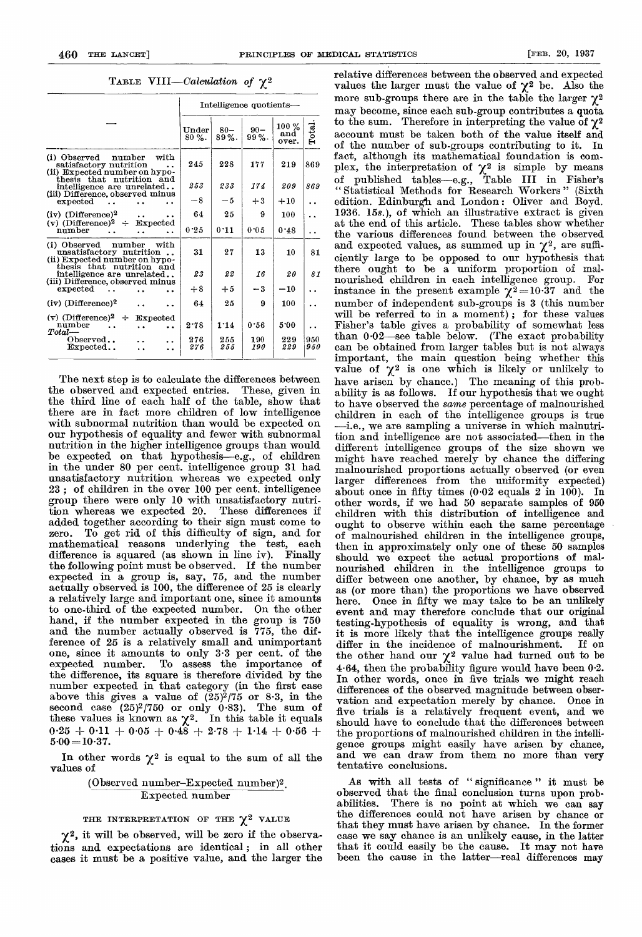TABLE VIII-Calculation of  $\chi^2$ 

|                                                                                               | Intelligence quotients-                         |                |                |                       |            |  |
|-----------------------------------------------------------------------------------------------|-------------------------------------------------|----------------|----------------|-----------------------|------------|--|
|                                                                                               | $\textcolor{black}{\mathtt{Under}}$<br>$80\%$ . | $80 -$<br>89%. | $90 -$<br>99%. | 100 %<br>and<br>over. | Total.     |  |
| (i) Observed<br>number<br>with<br>satisfactory nutrition<br>(ii) Expected number on hypo-     | 245                                             | 228            | 177            | 219                   | 869        |  |
| thesis that nutrition and<br>intelligence are unrelated                                       | 253                                             | 233            | 174            | 209                   | 869        |  |
| (iii) Difference, observed minus<br>expected                                                  | $-8$                                            | $-5$           | $+3$           | $+10$                 |            |  |
| $(iv)$ (Difference) <sup>2</sup>                                                              | 64                                              | 25             | 9              | 100                   |            |  |
| $(v)$ (Difference) <sup>2</sup> ÷ Expected<br>nnmber                                          | 0.25                                            | 0.11           | 0.05           | 0.48                  |            |  |
| (i) Observed number<br>with<br>$\;$ unsatisfactory nutrition<br>(ii) Expected number on hypo- | 31                                              | 27             | 13             | 10                    | 81         |  |
| thesis that nutrition and<br>intelligence are unrelated                                       | 23                                              | 22             | 16             | 20                    | 81         |  |
| (iii) Difference, observed minus<br>expected                                                  | $+8$                                            | $+5$           | $-3$           | $-10$                 |            |  |
| $(iv)$ (Difference) <sup>2</sup>                                                              | 64                                              | 25             | 9              | 100                   |            |  |
| $(v)$ (Difference) <sup>2</sup> ÷<br>Expected<br>number<br>$\mathit{Total}$ —–                | 2.78                                            | 1.14           | 0.56           | 5.00                  |            |  |
| Observed<br>Expected                                                                          | 276<br>276                                      | 255<br>255     | 190<br>190     | 229<br>229            | 950<br>950 |  |

The next step is to calculate the differences between<br>e observed and expected entries. These, given in the observed and expected entries. the third line of each half of the table, show that there are in fact more children of low intelligence with subnormal nutrition than would be expected on our hypothesis of equality and fewer with subnormal nutrition in the higher intelligence groups than would be expected on that hypothesis-e.g., of children in the under 80 per cent. intelligence group 31 had unsatisfactory nutrition whereas we expected only 23 ; of children in the over 100 per cent. intelligence group there were only 10 with unsatisfactory nutrition whereas we expected 20. These differences if added together according to their sign must come to zero. To get rid of this difficulty of sign, and for To get rid of this difficulty of sign, and for mathematical reasons underlying the test, each difference is squared (as shown in line iv). Finally the following point must be observed. If the number expected in a group is, say, 75, and the number a relatively large and important one, since it amounts to one-third of the expected number. On the other hand, if the number expected in the group is 750 and the number actually observed is 775, the difference of 25 is a relatively small and unimportant one, since it amounts to only 3-3 per cent. of the expected number. To assess the importance of the difference, its square is therefore divided by the number expected in that category (in the first case above this gives a value of  $(25)^2/75$  or 8.3, in the  $\rm{second\ \ case\ \ (25)^2/750\ \ or\ \ only\ \ 0.83).} \quad \rm{The\ \ sum\ \ of}$ these values is known as  $\chi^2$ . In this table it equals  $0.25 + 0.11 + 0.05 + 0.48 + 2.78 + 1.14 + 0.56 +$  $5.00 = 10.37$ .

In other words  $\chi^2$  is equal to the sum of all the values of

## (Observed number-Expected number)2. Expected number

## THE INTERPRETATION OF THE  $\chi^2$  VALUE

 $\chi^2$ , it will be observed, will be zero if the observations and expectations are identical; in all other cases it must be a positive value, and the larger the relative differences between the observed and expected values the larger must the value of  $\gamma^2$  be. Also the more sub-groups there are in the table the larger  $\gamma^2$ may become, since each sub-group contributes a quota to the sum. Therefore in interpreting the value of  $\gamma^2$ account must be taken both of the value itself and of the number of sub-groups contributing to it. In fact, although its mathematical foundation is eomplex, the interpretation of  $\chi^2$  is simple by means of published tables-e.g., Table III in Fisher's " Statistical Methods for Research Workers " (Sixth edition. Edinburgh and London: Oliver and Boyd. 1936. 15s.), of which an illustrative extract is given at the end of this article. These tables show whether the various differences found between the observed and expected values, as summed up in  $\chi^2$ , are sufficiently large to be opposed to our hypothesis that there ought to be a uniform proportion of malnourished children in each intelligence group. For instance in the present example  $\chi^2$  = 10.37 and the number of independent sub-groups is 3 (this number will be referred to in a moment); for these values Fisher's table gives a probability of somewhat less than 0.02 see table below. (The exact probability can be obtained from larger tables but is not always important, the main question being whether this value of  $\chi^2$  is one which is likely or unlikely to have arisen by chance.) The meaning of this probability is as follows. If our hypothesis that we ought to have observed the same percentage of malnourished children in each of the intelligence groups is true -i.e., we are sampling a universe in which malnutrition and intelligence are not associated-then in the different intelligence groups of the size shown we might have reached merely by chance the differing might have reached merely by chance the differing malnourished proportions actually observed (or even larger differences from the uniformity expected) about once in fifty times  $(0.02 \text{ equals } 2 \text{ in } 100)$ . In other words, if we had 50 separate samples of 950 children with this distribution of intelligence and ought to observe within each the same percentage of malnourished children in the intelligence groups, then in approximately only one of these 50 samples should we expect the actual proportions of malnourished children in the intelligence groups to differ between one another, by chance, by as much as (or more than) the proportions we have observed here. Once in fifty we may take to be an unlikely event and may therefore conclude that our original testing-hypothesis of equality is wrong, and that it is more likely that the intelligence groups really differ in the incidence of malnourishment. If on the other hand our  $\chi^2$  value had turned out to be 4-64, then the probability figure would have been 0-2. In other words, once in five trials we might reach differences of the observed magnitude between observation and expectation merely by chance. Once in five trials is a relatively frequent event, and we should have to conclude that the differences between the proportions of malnourished children in the intelligence groups might easily have arisen by chance, and we can draw from them no more than very tentative conclusions.

As with all tests of "significance" it must be observed that the final conclusion turns upon probabilities. There is no point at which we can say the differences could not have arisen by chance or that they must have arisen by chance. In the former case we say chance is an unlikely cause, in the latter that it could easily be the cause. It may not have been the cause in the latter-real differences may